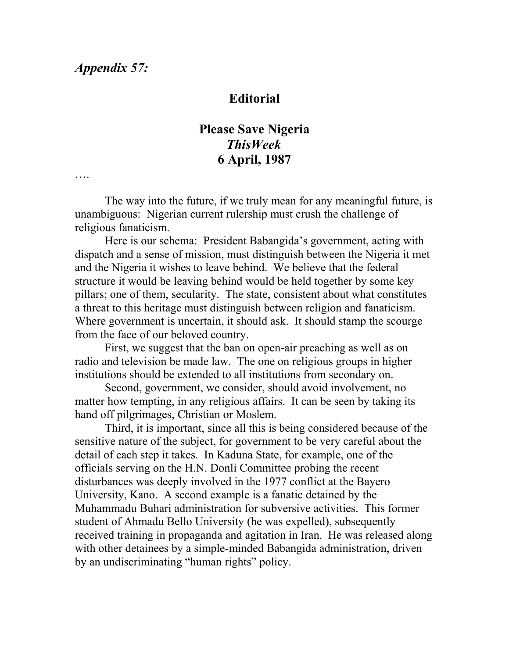….

## **Editorial**

## **Please Save Nigeria** *ThisWeek* **6 April, 1987**

The way into the future, if we truly mean for any meaningful future, is unambiguous: Nigerian current rulership must crush the challenge of religious fanaticism.

Here is our schema: President Babangida's government, acting with dispatch and a sense of mission, must distinguish between the Nigeria it met and the Nigeria it wishes to leave behind. We believe that the federal structure it would be leaving behind would be held together by some key pillars; one of them, secularity. The state, consistent about what constitutes a threat to this heritage must distinguish between religion and fanaticism. Where government is uncertain, it should ask. It should stamp the scourge from the face of our beloved country.

First, we suggest that the ban on open-air preaching as well as on radio and television be made law. The one on religious groups in higher institutions should be extended to all institutions from secondary on.

Second, government, we consider, should avoid involvement, no matter how tempting, in any religious affairs. It can be seen by taking its hand off pilgrimages, Christian or Moslem.

Third, it is important, since all this is being considered because of the sensitive nature of the subject, for government to be very careful about the detail of each step it takes. In Kaduna State, for example, one of the officials serving on the H.N. Donli Committee probing the recent disturbances was deeply involved in the 1977 conflict at the Bayero University, Kano. A second example is a fanatic detained by the Muhammadu Buhari administration for subversive activities. This former student of Ahmadu Bello University (he was expelled), subsequently received training in propaganda and agitation in Iran. He was released along with other detainees by a simple-minded Babangida administration, driven by an undiscriminating "human rights" policy.